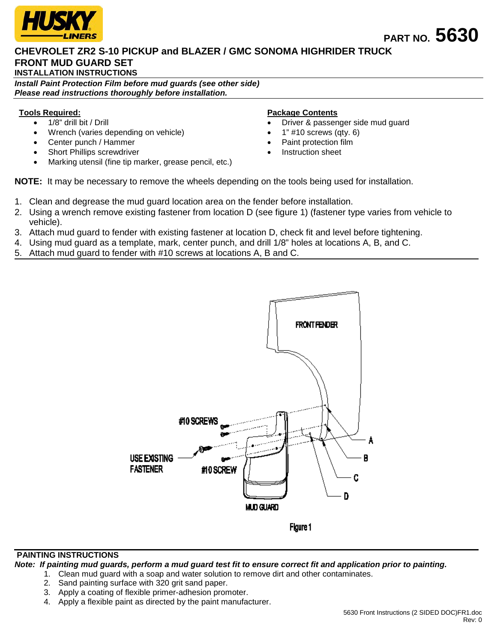

# **CHEVROLET ZR2 S-10 PICKUP and BLAZER / GMC SONOMA HIGHRIDER TRUCK FRONT MUD GUARD SET**

**INSTALLATION INSTRUCTIONS**

*Install Paint Protection Film before mud guards (see other side) Please read instructions thoroughly before installation.*

### **Tools Required:**

- 1/8" drill bit / Drill
- Wrench (varies depending on vehicle)
- Center punch / Hammer
- Short Phillips screwdriver
- Marking utensil (fine tip marker, grease pencil, etc.)

#### **Package Contents**

- Driver & passenger side mud guard
- $1"$  #10 screws (qty. 6)
- Paint protection film
- Instruction sheet

**NOTE:** It may be necessary to remove the wheels depending on the tools being used for installation.

- 1. Clean and degrease the mud guard location area on the fender before installation.
- 2. Using a wrench remove existing fastener from location D (see figure 1) (fastener type varies from vehicle to vehicle).
- 3. Attach mud guard to fender with existing fastener at location D, check fit and level before tightening.
- 4. Using mud guard as a template, mark, center punch, and drill 1/8" holes at locations A, B, and C.
- 5. Attach mud guard to fender with #10 screws at locations A, B and C.



### **PAINTING INSTRUCTIONS**

*Note: If painting mud guards, perform a mud guard test fit to ensure correct fit and application prior to painting.*

- 1. Clean mud guard with a soap and water solution to remove dirt and other contaminates.
	- 2. Sand painting surface with 320 grit sand paper.
	- 3. Apply a coating of flexible primer-adhesion promoter.
	- 4. Apply a flexible paint as directed by the paint manufacturer.